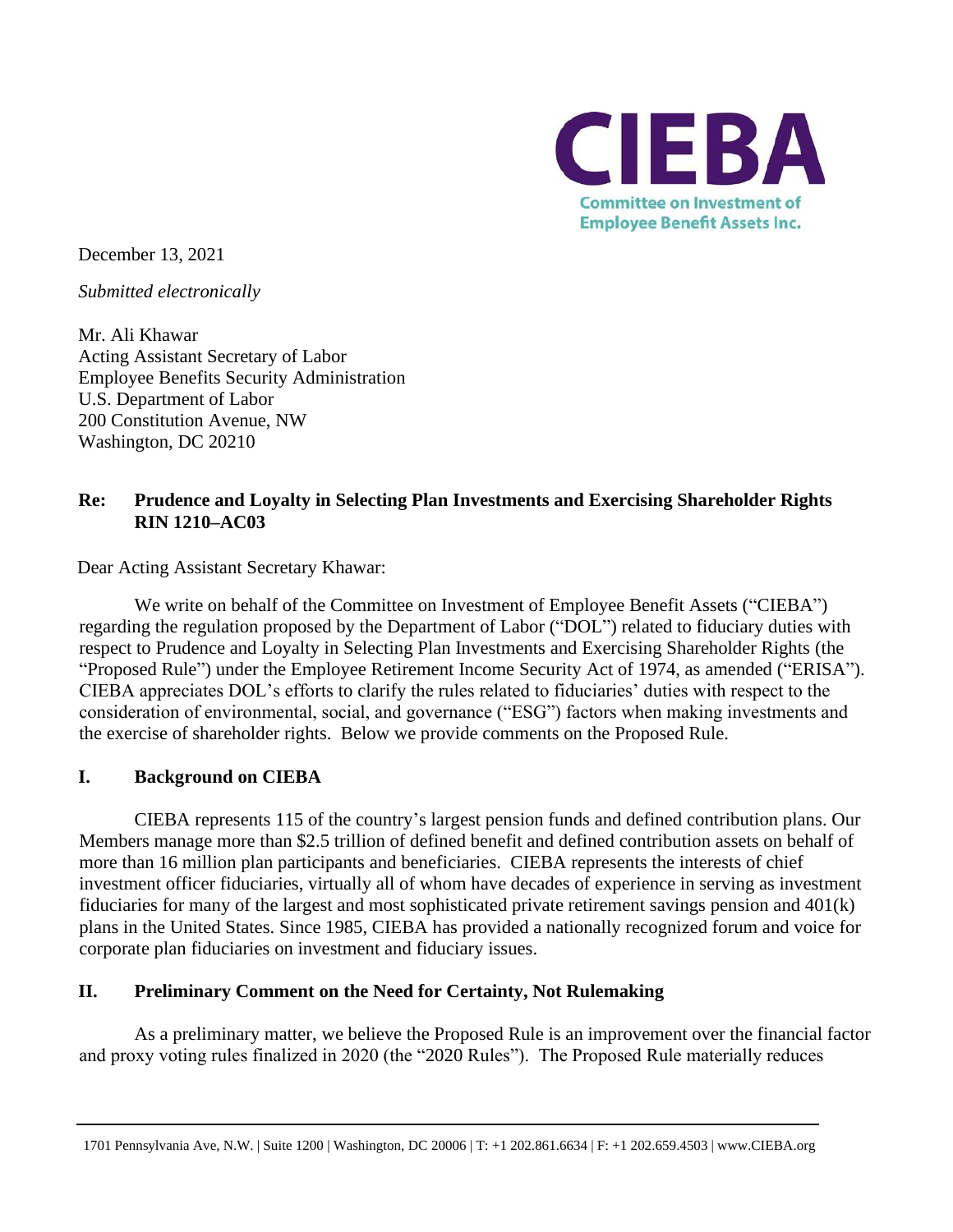

December 13, 2021

*Submitted electronically* 

Mr. Ali Khawar Acting Assistant Secretary of Labor Employee Benefits Security Administration U.S. Department of Labor 200 Constitution Avenue, NW Washington, DC 20210

### **Re: Prudence and Loyalty in Selecting Plan Investments and Exercising Shareholder Rights RIN 1210–AC03**

Dear Acting Assistant Secretary Khawar:

We write on behalf of the Committee on Investment of Employee Benefit Assets ("CIEBA") regarding the regulation proposed by the Department of Labor ("DOL") related to fiduciary duties with respect to Prudence and Loyalty in Selecting Plan Investments and Exercising Shareholder Rights (the "Proposed Rule") under the Employee Retirement Income Security Act of 1974, as amended ("ERISA"). CIEBA appreciates DOL's efforts to clarify the rules related to fiduciaries' duties with respect to the consideration of environmental, social, and governance ("ESG") factors when making investments and the exercise of shareholder rights. Below we provide comments on the Proposed Rule.

#### **I. Background on CIEBA**

CIEBA represents 115 of the country's largest pension funds and defined contribution plans. Our Members manage more than \$2.5 trillion of defined benefit and defined contribution assets on behalf of more than 16 million plan participants and beneficiaries. CIEBA represents the interests of chief investment officer fiduciaries, virtually all of whom have decades of experience in serving as investment fiduciaries for many of the largest and most sophisticated private retirement savings pension and 401(k) plans in the United States. Since 1985, CIEBA has provided a nationally recognized forum and voice for corporate plan fiduciaries on investment and fiduciary issues.

#### **II. Preliminary Comment on the Need for Certainty, Not Rulemaking**

As a preliminary matter, we believe the Proposed Rule is an improvement over the financial factor and proxy voting rules finalized in 2020 (the "2020 Rules"). The Proposed Rule materially reduces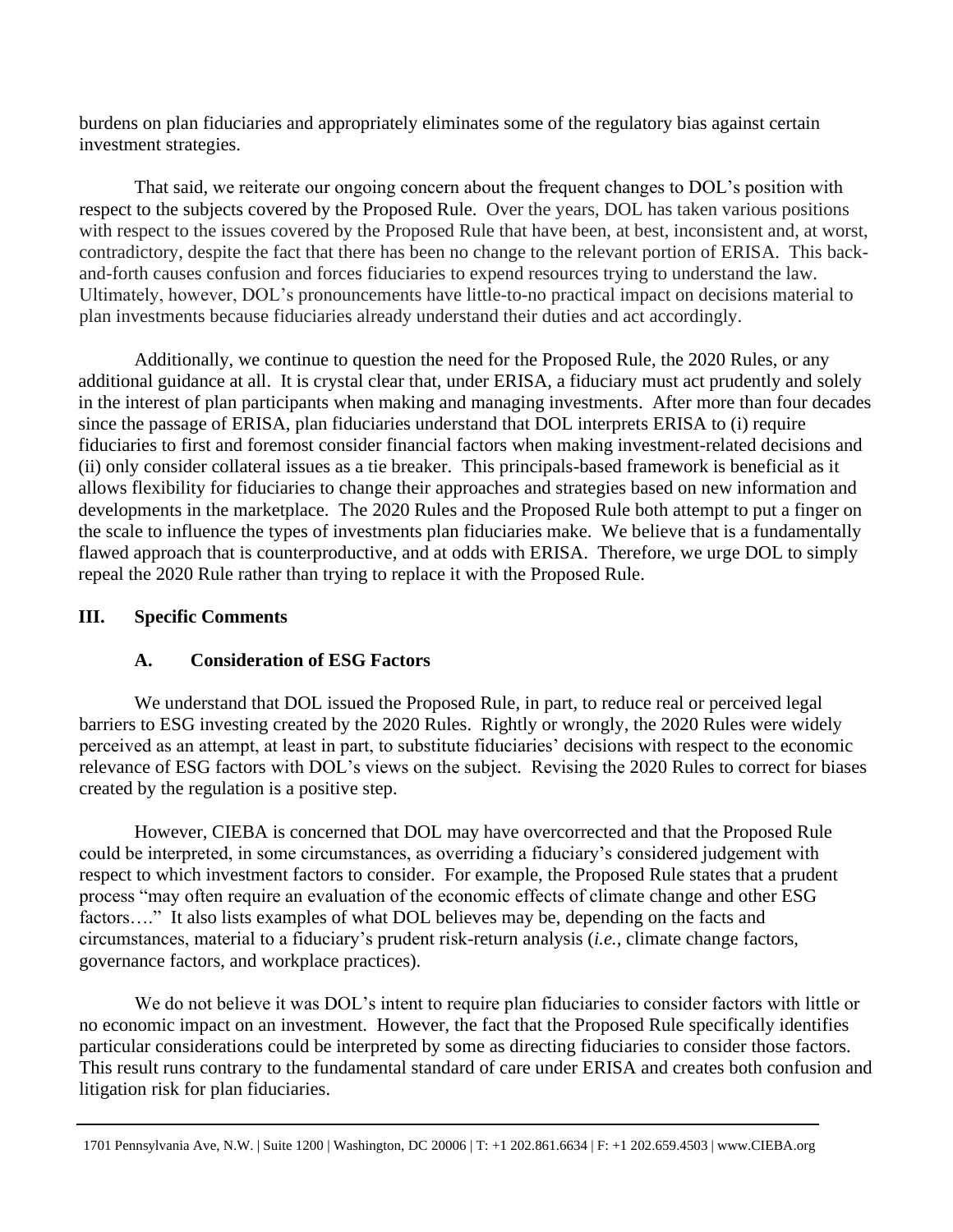burdens on plan fiduciaries and appropriately eliminates some of the regulatory bias against certain investment strategies.

That said, we reiterate our ongoing concern about the frequent changes to DOL's position with respect to the subjects covered by the Proposed Rule. Over the years, DOL has taken various positions with respect to the issues covered by the Proposed Rule that have been, at best, inconsistent and, at worst, contradictory, despite the fact that there has been no change to the relevant portion of ERISA. This backand-forth causes confusion and forces fiduciaries to expend resources trying to understand the law. Ultimately, however, DOL's pronouncements have little-to-no practical impact on decisions material to plan investments because fiduciaries already understand their duties and act accordingly.

Additionally, we continue to question the need for the Proposed Rule, the 2020 Rules, or any additional guidance at all. It is crystal clear that, under ERISA, a fiduciary must act prudently and solely in the interest of plan participants when making and managing investments. After more than four decades since the passage of ERISA, plan fiduciaries understand that DOL interprets ERISA to (i) require fiduciaries to first and foremost consider financial factors when making investment-related decisions and (ii) only consider collateral issues as a tie breaker. This principals-based framework is beneficial as it allows flexibility for fiduciaries to change their approaches and strategies based on new information and developments in the marketplace. The 2020 Rules and the Proposed Rule both attempt to put a finger on the scale to influence the types of investments plan fiduciaries make. We believe that is a fundamentally flawed approach that is counterproductive, and at odds with ERISA. Therefore, we urge DOL to simply repeal the 2020 Rule rather than trying to replace it with the Proposed Rule.

#### **III. Specific Comments**

### **A. Consideration of ESG Factors**

We understand that DOL issued the Proposed Rule, in part, to reduce real or perceived legal barriers to ESG investing created by the 2020 Rules. Rightly or wrongly, the 2020 Rules were widely perceived as an attempt, at least in part, to substitute fiduciaries' decisions with respect to the economic relevance of ESG factors with DOL's views on the subject. Revising the 2020 Rules to correct for biases created by the regulation is a positive step.

However, CIEBA is concerned that DOL may have overcorrected and that the Proposed Rule could be interpreted, in some circumstances, as overriding a fiduciary's considered judgement with respect to which investment factors to consider. For example, the Proposed Rule states that a prudent process "may often require an evaluation of the economic effects of climate change and other ESG factors...." It also lists examples of what DOL believes may be, depending on the facts and circumstances, material to a fiduciary's prudent risk-return analysis (*i.e.,* climate change factors, governance factors, and workplace practices).

We do not believe it was DOL's intent to require plan fiduciaries to consider factors with little or no economic impact on an investment. However, the fact that the Proposed Rule specifically identifies particular considerations could be interpreted by some as directing fiduciaries to consider those factors. This result runs contrary to the fundamental standard of care under ERISA and creates both confusion and litigation risk for plan fiduciaries.

<sup>1701</sup> Pennsylvania Ave, N.W. | Suite 1200 | Washington, DC 20006 | T: +1 202.861.6634 | F: +1 202.659.4503 | www.CIEBA.org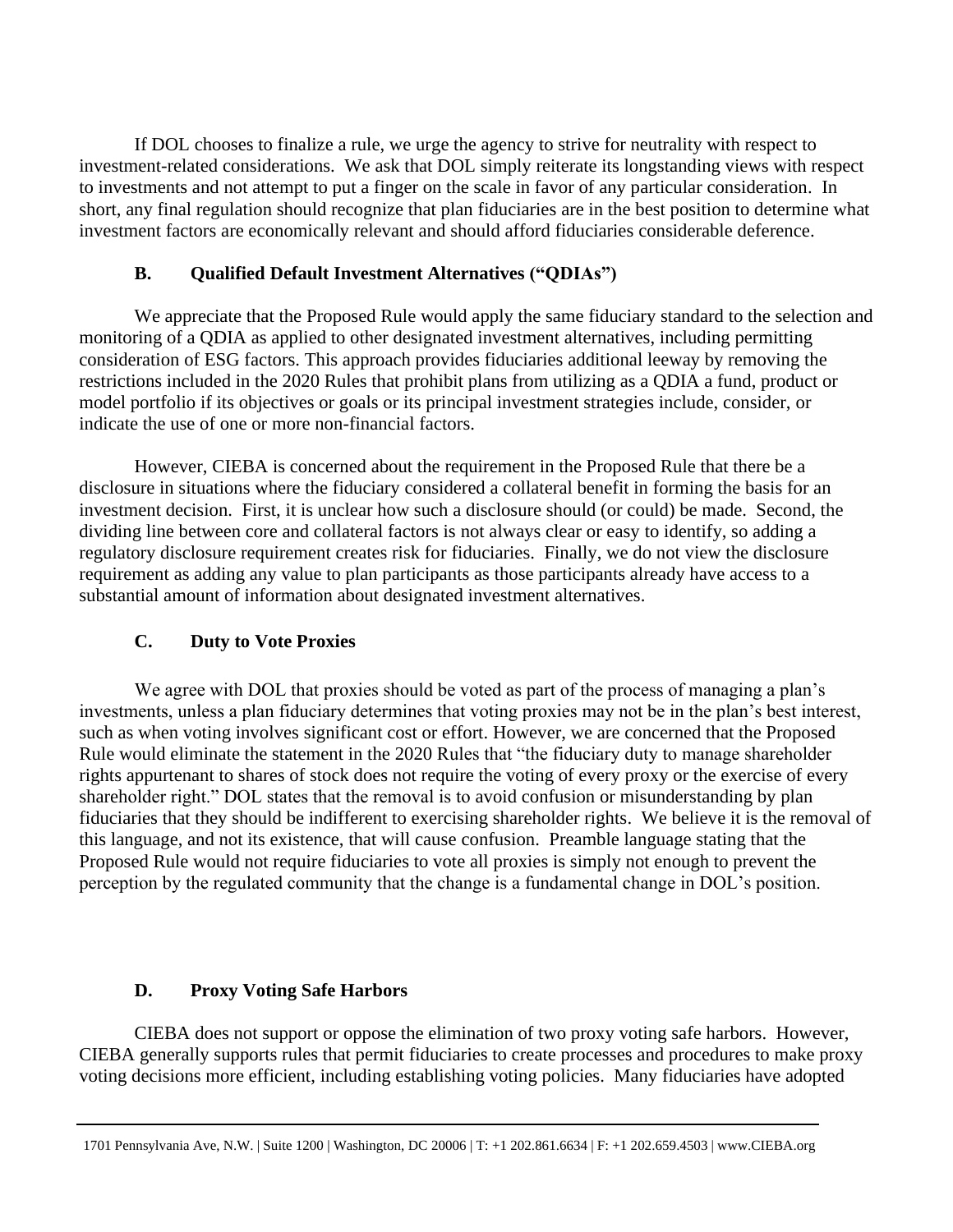If DOL chooses to finalize a rule, we urge the agency to strive for neutrality with respect to investment-related considerations. We ask that DOL simply reiterate its longstanding views with respect to investments and not attempt to put a finger on the scale in favor of any particular consideration. In short, any final regulation should recognize that plan fiduciaries are in the best position to determine what investment factors are economically relevant and should afford fiduciaries considerable deference.

### **B. Qualified Default Investment Alternatives ("QDIAs")**

We appreciate that the Proposed Rule would apply the same fiduciary standard to the selection and monitoring of a QDIA as applied to other designated investment alternatives, including permitting consideration of ESG factors. This approach provides fiduciaries additional leeway by removing the restrictions included in the 2020 Rules that prohibit plans from utilizing as a QDIA a fund, product or model portfolio if its objectives or goals or its principal investment strategies include, consider, or indicate the use of one or more non-financial factors.

However, CIEBA is concerned about the requirement in the Proposed Rule that there be a disclosure in situations where the fiduciary considered a collateral benefit in forming the basis for an investment decision. First, it is unclear how such a disclosure should (or could) be made. Second, the dividing line between core and collateral factors is not always clear or easy to identify, so adding a regulatory disclosure requirement creates risk for fiduciaries. Finally, we do not view the disclosure requirement as adding any value to plan participants as those participants already have access to a substantial amount of information about designated investment alternatives.

### **C. Duty to Vote Proxies**

We agree with DOL that proxies should be voted as part of the process of managing a plan's investments, unless a plan fiduciary determines that voting proxies may not be in the plan's best interest, such as when voting involves significant cost or effort. However, we are concerned that the Proposed Rule would eliminate the statement in the 2020 Rules that "the fiduciary duty to manage shareholder rights appurtenant to shares of stock does not require the voting of every proxy or the exercise of every shareholder right." DOL states that the removal is to avoid confusion or misunderstanding by plan fiduciaries that they should be indifferent to exercising shareholder rights. We believe it is the removal of this language, and not its existence, that will cause confusion. Preamble language stating that the Proposed Rule would not require fiduciaries to vote all proxies is simply not enough to prevent the perception by the regulated community that the change is a fundamental change in DOL's position.

#### **D. Proxy Voting Safe Harbors**

CIEBA does not support or oppose the elimination of two proxy voting safe harbors. However, CIEBA generally supports rules that permit fiduciaries to create processes and procedures to make proxy voting decisions more efficient, including establishing voting policies. Many fiduciaries have adopted

<sup>1701</sup> Pennsylvania Ave, N.W. | Suite 1200 | Washington, DC 20006 | T: +1 202.861.6634 | F: +1 202.659.4503 | www.CIEBA.org